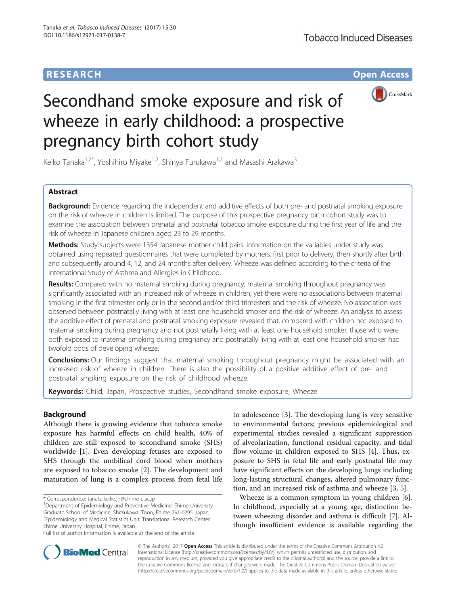# **RESEARCH CHE Open Access**



# Secondhand smoke exposure and risk of wheeze in early childhood: a prospective pregnancy birth cohort study

Keiko Tanaka<sup>1,2\*</sup>, Yoshihiro Miyake<sup>1,2</sup>, Shinya Furukawa<sup>1,2</sup> and Masashi Arakawa<sup>3</sup>

# Abstract

**Background:** Evidence regarding the independent and additive effects of both pre- and postnatal smoking exposure on the risk of wheeze in children is limited. The purpose of this prospective pregnancy birth cohort study was to examine the association between prenatal and postnatal tobacco smoke exposure during the first year of life and the risk of wheeze in Japanese children aged 23 to 29 months.

Methods: Study subjects were 1354 Japanese mother-child pairs. Information on the variables under study was obtained using repeated questionnaires that were completed by mothers, first prior to delivery, then shortly after birth and subsequently around 4, 12, and 24 months after delivery. Wheeze was defined according to the criteria of the International Study of Asthma and Allergies in Childhood.

Results: Compared with no maternal smoking during pregnancy, maternal smoking throughout pregnancy was significantly associated with an increased risk of wheeze in children, yet there were no associations between maternal smoking in the first trimester only or in the second and/or third trimesters and the risk of wheeze. No association was observed between postnatally living with at least one household smoker and the risk of wheeze. An analysis to assess the additive effect of prenatal and postnatal smoking exposure revealed that, compared with children not exposed to maternal smoking during pregnancy and not postnatally living with at least one household smoker, those who were both exposed to maternal smoking during pregnancy and postnatally living with at least one household smoker had twofold odds of developing wheeze.

**Conclusions:** Our findings suggest that maternal smoking throughout pregnancy might be associated with an increased risk of wheeze in children. There is also the possibility of a positive additive effect of pre- and postnatal smoking exposure on the risk of childhood wheeze.

Keywords: Child, Japan, Prospective studies, Secondhand smoke exposure, Wheeze

# Background

Although there is growing evidence that tobacco smoke exposure has harmful effects on child health, 40% of children are still exposed to secondhand smoke (SHS) worldwide [[1\]](#page-5-0). Even developing fetuses are exposed to SHS through the umbilical cord blood when mothers are exposed to tobacco smoke [\[2](#page-5-0)]. The development and maturation of lung is a complex process from fetal life

\* Correspondence: [tanaka.keiko.jn@ehime-u.ac.jp](mailto:tanaka.keiko.jn@ehime-u.ac.jp) <sup>1</sup>

<sup>1</sup>Department of Epidemiology and Preventive Medicine, Ehime University Graduate School of Medicine, Shitsukawa, Toon, Ehime 791-0295, Japan <sup>2</sup> Epidemiology and Medical Statistics Unit, Translational Research Center, Ehime University Hospital, Ehime, Japan

Full list of author information is available at the end of the article

to adolescence [[3](#page-5-0)]. The developing lung is very sensitive to environmental factors; previous epidemiological and experimental studies revealed a significant suppression of alveolarization, functional residual capacity, and tidal flow volume in children exposed to SHS [\[4](#page-5-0)]. Thus, exposure to SHS in fetal life and early postnatal life may have significant effects on the developing lungs including long-lasting structural changes, altered pulmonary function, and an increased risk of asthma and wheeze [[3, 5\]](#page-5-0).

Wheeze is a common symptom in young children [\[6](#page-5-0)]. In childhood, especially at a young age, distinction between wheezing disorder and asthma is difficult [[7\]](#page-5-0). Although insufficient evidence is available regarding the



© The Author(s). 2017 **Open Access** This article is distributed under the terms of the Creative Commons Attribution 4.0 International License [\(http://creativecommons.org/licenses/by/4.0/](http://creativecommons.org/licenses/by/4.0/)), which permits unrestricted use, distribution, and reproduction in any medium, provided you give appropriate credit to the original author(s) and the source, provide a link to the Creative Commons license, and indicate if changes were made. The Creative Commons Public Domain Dedication waiver [\(http://creativecommons.org/publicdomain/zero/1.0/](http://creativecommons.org/publicdomain/zero/1.0/)) applies to the data made available in this article, unless otherwise stated.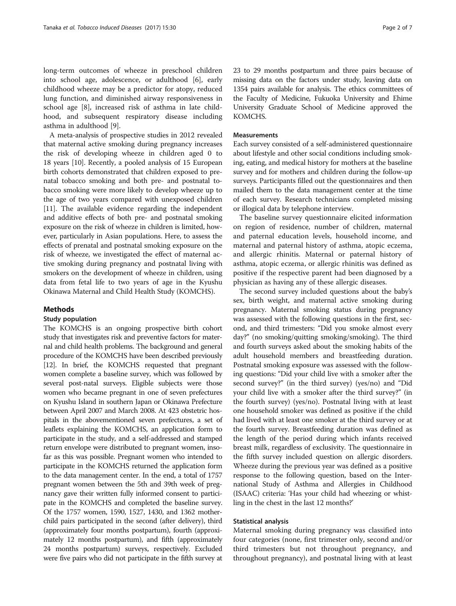long-term outcomes of wheeze in preschool children into school age, adolescence, or adulthood [[6\]](#page-5-0), early childhood wheeze may be a predictor for atopy, reduced lung function, and diminished airway responsiveness in school age [\[8](#page-5-0)], increased risk of asthma in late childhood, and subsequent respiratory disease including asthma in adulthood [\[9](#page-5-0)].

A meta-analysis of prospective studies in 2012 revealed that maternal active smoking during pregnancy increases the risk of developing wheeze in children aged 0 to 18 years [[10](#page-5-0)]. Recently, a pooled analysis of 15 European birth cohorts demonstrated that children exposed to prenatal tobacco smoking and both pre- and postnatal tobacco smoking were more likely to develop wheeze up to the age of two years compared with unexposed children [[11](#page-5-0)]. The available evidence regarding the independent and additive effects of both pre- and postnatal smoking exposure on the risk of wheeze in children is limited, however, particularly in Asian populations. Here, to assess the effects of prenatal and postnatal smoking exposure on the risk of wheeze, we investigated the effect of maternal active smoking during pregnancy and postnatal living with smokers on the development of wheeze in children, using data from fetal life to two years of age in the Kyushu Okinawa Maternal and Child Health Study (KOMCHS).

# Methods

# Study population

The KOMCHS is an ongoing prospective birth cohort study that investigates risk and preventive factors for maternal and child health problems. The background and general procedure of the KOMCHS have been described previously [[12](#page-5-0)]. In brief, the KOMCHS requested that pregnant women complete a baseline survey, which was followed by several post-natal surveys. Eligible subjects were those women who became pregnant in one of seven prefectures on Kyushu Island in southern Japan or Okinawa Prefecture between April 2007 and March 2008. At 423 obstetric hospitals in the abovementioned seven prefectures, a set of leaflets explaining the KOMCHS, an application form to participate in the study, and a self-addressed and stamped return envelope were distributed to pregnant women, insofar as this was possible. Pregnant women who intended to participate in the KOMCHS returned the application form to the data management center. In the end, a total of 1757 pregnant women between the 5th and 39th week of pregnancy gave their written fully informed consent to participate in the KOMCHS and completed the baseline survey. Of the 1757 women, 1590, 1527, 1430, and 1362 motherchild pairs participated in the second (after delivery), third (approximately four months postpartum), fourth (approximately 12 months postpartum), and fifth (approximately 24 months postpartum) surveys, respectively. Excluded were five pairs who did not participate in the fifth survey at 23 to 29 months postpartum and three pairs because of missing data on the factors under study, leaving data on 1354 pairs available for analysis. The ethics committees of the Faculty of Medicine, Fukuoka University and Ehime University Graduate School of Medicine approved the KOMCHS.

## **Measurements**

Each survey consisted of a self-administered questionnaire about lifestyle and other social conditions including smoking, eating, and medical history for mothers at the baseline survey and for mothers and children during the follow-up surveys. Participants filled out the questionnaires and then mailed them to the data management center at the time of each survey. Research technicians completed missing or illogical data by telephone interview.

The baseline survey questionnaire elicited information on region of residence, number of children, maternal and paternal education levels, household income, and maternal and paternal history of asthma, atopic eczema, and allergic rhinitis. Maternal or paternal history of asthma, atopic eczema, or allergic rhinitis was defined as positive if the respective parent had been diagnosed by a physician as having any of these allergic diseases.

The second survey included questions about the baby's sex, birth weight, and maternal active smoking during pregnancy. Maternal smoking status during pregnancy was assessed with the following questions in the first, second, and third trimesters: "Did you smoke almost every day?" (no smoking/quitting smoking/smoking). The third and fourth surveys asked about the smoking habits of the adult household members and breastfeeding duration. Postnatal smoking exposure was assessed with the following questions: "Did your child live with a smoker after the second survey?" (in the third survey) (yes/no) and "Did your child live with a smoker after the third survey?" (in the fourth survey) (yes/no). Postnatal living with at least one household smoker was defined as positive if the child had lived with at least one smoker at the third survey or at the fourth survey. Breastfeeding duration was defined as the length of the period during which infants received breast milk, regardless of exclusivity. The questionnaire in the fifth survey included question on allergic disorders. Wheeze during the previous year was defined as a positive response to the following question, based on the International Study of Asthma and Allergies in Childhood (ISAAC) criteria: 'Has your child had wheezing or whistling in the chest in the last 12 months?'

## Statistical analysis

Maternal smoking during pregnancy was classified into four categories (none, first trimester only, second and/or third trimesters but not throughout pregnancy, and throughout pregnancy), and postnatal living with at least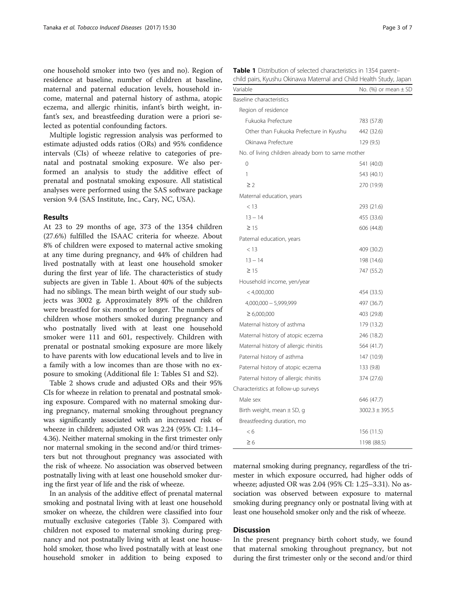one household smoker into two (yes and no). Region of residence at baseline, number of children at baseline, maternal and paternal education levels, household income, maternal and paternal history of asthma, atopic eczema, and allergic rhinitis, infant's birth weight, infant's sex, and breastfeeding duration were a priori selected as potential confounding factors.

Multiple logistic regression analysis was performed to estimate adjusted odds ratios (ORs) and 95% confidence intervals (CIs) of wheeze relative to categories of prenatal and postnatal smoking exposure. We also performed an analysis to study the additive effect of prenatal and postnatal smoking exposure. All statistical analyses were performed using the SAS software package version 9.4 (SAS Institute, Inc., Cary, NC, USA).

# Results

At 23 to 29 months of age, 373 of the 1354 children (27.6%) fulfilled the ISAAC criteria for wheeze. About 8% of children were exposed to maternal active smoking at any time during pregnancy, and 44% of children had lived postnatally with at least one household smoker during the first year of life. The characteristics of study subjects are given in Table 1. About 40% of the subjects had no siblings. The mean birth weight of our study subjects was 3002 g. Approximately 89% of the children were breastfed for six months or longer. The numbers of children whose mothers smoked during pregnancy and who postnatally lived with at least one household smoker were 111 and 601, respectively. Children with prenatal or postnatal smoking exposure are more likely to have parents with low educational levels and to live in a family with a low incomes than are those with no exposure to smoking (Additional file [1](#page-4-0): Tables S1 and S2).

Table [2](#page-3-0) shows crude and adjusted ORs and their 95% CIs for wheeze in relation to prenatal and postnatal smoking exposure. Compared with no maternal smoking during pregnancy, maternal smoking throughout pregnancy was significantly associated with an increased risk of wheeze in children; adjusted OR was 2.24 (95% CI: 1.14– 4.36). Neither maternal smoking in the first trimester only nor maternal smoking in the second and/or third trimesters but not throughout pregnancy was associated with the risk of wheeze. No association was observed between postnatally living with at least one household smoker during the first year of life and the risk of wheeze.

In an analysis of the additive effect of prenatal maternal smoking and postnatal living with at least one household smoker on wheeze, the children were classified into four mutually exclusive categories (Table [3](#page-3-0)). Compared with children not exposed to maternal smoking during pregnancy and not postnatally living with at least one household smoker, those who lived postnatally with at least one household smoker in addition to being exposed to

|  | <b>Table 1</b> Distribution of selected characteristics in 1354 parent- |  |  |  |  |
|--|-------------------------------------------------------------------------|--|--|--|--|
|  | child pairs, Kyushu Okinawa Maternal and Child Health Study, Japan      |  |  |  |  |

| Variable                                           | No. $(\%)$ or mean $\pm$ SD |
|----------------------------------------------------|-----------------------------|
| Baseline characteristics                           |                             |
| Region of residence                                |                             |
| Fukuoka Prefecture                                 | 783 (57.8)                  |
| Other than Fukuoka Prefecture in Kyushu            | 442 (32.6)                  |
| Okinawa Prefecture                                 | 129 (9.5)                   |
| No. of living children already born to same mother |                             |
| 0                                                  | 541 (40.0)                  |
| 1                                                  | 543 (40.1)                  |
| $\geq$ 2                                           | 270 (19.9)                  |
| Maternal education, years                          |                             |
| < 13                                               | 293 (21.6)                  |
| $13 - 14$                                          | 455 (33.6)                  |
| $\geq$ 15                                          | 606 (44.8)                  |
| Paternal education, years                          |                             |
| $<$ 13                                             | 409 (30.2)                  |
| $13 - 14$                                          | 198 (14.6)                  |
| $\geq 15$                                          | 747 (55.2)                  |
| Household income, yen/year                         |                             |
| < 4,000,000                                        | 454 (33.5)                  |
| $4,000,000 - 5,999,999$                            | 497 (36.7)                  |
| $\geq 6,000,000$                                   | 403 (29.8)                  |
| Maternal history of asthma                         | 179 (13.2)                  |
| Maternal history of atopic eczema                  | 246 (18.2)                  |
| Maternal history of allergic rhinitis              | 564 (41.7)                  |
| Paternal history of asthma                         | 147 (10.9)                  |
| Paternal history of atopic eczema                  | 133 (9.8)                   |
| Paternal history of allergic rhinitis              | 374 (27.6)                  |
| Characteristics at follow-up surveys               |                             |
| Male sex                                           | 646 (47.7)                  |
| Birth weight, mean $\pm$ SD, g                     | $3002.3 \pm 395.5$          |
| Breastfeeding duration, mo                         |                             |
| < 6                                                | 156 (11.5)                  |
| $\geq 6$                                           | 1198 (88.5)                 |

maternal smoking during pregnancy, regardless of the trimester in which exposure occurred, had higher odds of wheeze; adjusted OR was 2.04 (95% CI: 1.25–3.31). No association was observed between exposure to maternal smoking during pregnancy only or postnatal living with at least one household smoker only and the risk of wheeze.

# **Discussion**

In the present pregnancy birth cohort study, we found that maternal smoking throughout pregnancy, but not during the first trimester only or the second and/or third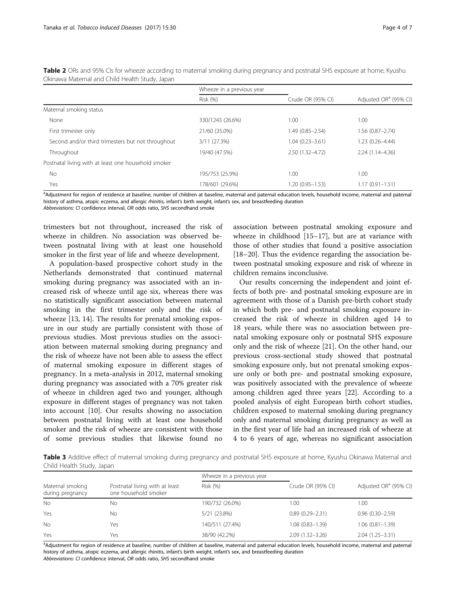|                                                     | Wheeze in a previous year |                     |                                   |  |
|-----------------------------------------------------|---------------------------|---------------------|-----------------------------------|--|
|                                                     | Risk (%)                  | Crude OR (95% CI)   | Adjusted OR <sup>a</sup> (95% CI) |  |
| Maternal smoking status                             |                           |                     |                                   |  |
| None                                                | 330/1243 (26.6%)          | 1.00                | 1.00                              |  |
| First trimester only                                | 21/60 (35.0%)             | $1.49(0.85 - 2.54)$ | $1.56(0.87 - 2.74)$               |  |
| Second and/or third trimesters but not throughout   | 3/11 (27.3%)              | $1.04(0.23 - 3.61)$ | $1.23(0.26 - 4.44)$               |  |
| Throughout                                          | 19/40 (47.5%)             | $2.50(1.32 - 4.72)$ | $2.24(1.14 - 4.36)$               |  |
| Postnatal living with at least one household smoker |                           |                     |                                   |  |
| <b>No</b>                                           | 195/753 (25.9%)           | 1.00                | 1.00                              |  |
| Yes                                                 | 178/601 (29.6%)           | $1.20(0.95 - 1.53)$ | $1.17(0.91 - 1.51)$               |  |

<span id="page-3-0"></span>Table 2 ORs and 95% CIs for wheeze according to maternal smoking during pregnancy and postnatal SHS exposure at home, Kyushu Okinawa Maternal and Child Health Study, Japan

a<br>Adjustment for region of residence at baseline, number of children at baseline, maternal and paternal education levels, household income, maternal and paternal history of asthma, atopic eczema, and allergic rhinitis, infant's birth weight, infant's sex, and breastfeeding duration

Abbreviations: CI confidence interval, OR odds ratio, SHS secondhand smoke

trimesters but not throughout, increased the risk of wheeze in children. No association was observed between postnatal living with at least one household smoker in the first year of life and wheeze development.

A population-based prospective cohort study in the Netherlands demonstrated that continued maternal smoking during pregnancy was associated with an increased risk of wheeze until age six, whereas there was no statistically significant association between maternal smoking in the first trimester only and the risk of wheeze [[13](#page-5-0), [14](#page-5-0)]. The results for prenatal smoking exposure in our study are partially consistent with those of previous studies. Most previous studies on the association between maternal smoking during pregnancy and the risk of wheeze have not been able to assess the effect of maternal smoking exposure in different stages of pregnancy. In a meta-analysis in 2012, maternal smoking during pregnancy was associated with a 70% greater risk of wheeze in children aged two and younger, although exposure in different stages of pregnancy was not taken into account [\[10\]](#page-5-0). Our results showing no association between postnatal living with at least one household smoker and the risk of wheeze are consistent with those of some previous studies that likewise found no

association between postnatal smoking exposure and wheeze in childhood [[15](#page-5-0)–[17](#page-5-0)], but are at variance with those of other studies that found a positive association [[18](#page-5-0)–[20](#page-5-0)]. Thus the evidence regarding the association between postnatal smoking exposure and risk of wheeze in children remains inconclusive.

Our results concerning the independent and joint effects of both pre- and postnatal smoking exposure are in agreement with those of a Danish pre-birth cohort study in which both pre- and postnatal smoking exposure increased the risk of wheeze in children aged 14 to 18 years, while there was no association between prenatal smoking exposure only or postnatal SHS exposure only and the risk of wheeze [\[21\]](#page-5-0). On the other hand, our previous cross-sectional study showed that postnatal smoking exposure only, but not prenatal smoking exposure only or both pre- and postnatal smoking exposure, was positively associated with the prevalence of wheeze among children aged three years [[22\]](#page-5-0). According to a pooled analysis of eight European birth cohort studies, children exposed to maternal smoking during pregnancy only and maternal smoking during pregnancy as well as in the first year of life had an increased risk of wheeze at 4 to 6 years of age, whereas no significant association

Table 3 Additive effect of maternal smoking during pregnancy and postnatal SHS exposure at home, Kyushu Okinawa Maternal and Child Health Study, Japan

|                                      |                                                        | Wheeze in a previous year |                     |                                   |  |
|--------------------------------------|--------------------------------------------------------|---------------------------|---------------------|-----------------------------------|--|
| Maternal smoking<br>during pregnancy | Postnatal living with at least<br>one household smoker | Risk (%)                  | Crude OR (95% CI)   | Adjusted OR <sup>a</sup> (95% CI) |  |
| No                                   | No                                                     | 190/732 (26.0%)           | 1.00                | 1.00                              |  |
| Yes                                  | No                                                     | 5/21 (23.8%)              | $0.89(0.29 - 2.31)$ | $0.96(0.30 - 2.59)$               |  |
| No.                                  | Yes                                                    | 140/511 (27.4%)           | $1.08(0.83 - 1.39)$ | $1.06(0.81 - 1.39)$               |  |
| Yes                                  | Yes                                                    | 38/90 (42.2%)             | $2.09(1.32 - 3.26)$ | $2.04(1.25 - 3.31)$               |  |

a<br>Adjustment for region of residence at baseline, number of children at baseline, maternal and paternal education levels, household income, maternal and paternal history of asthma, atopic eczema, and allergic rhinitis, infant's birth weight, infant's sex, and breastfeeding duration Abbreviations: CI confidence interval, OR odds ratio, SHS secondhand smoke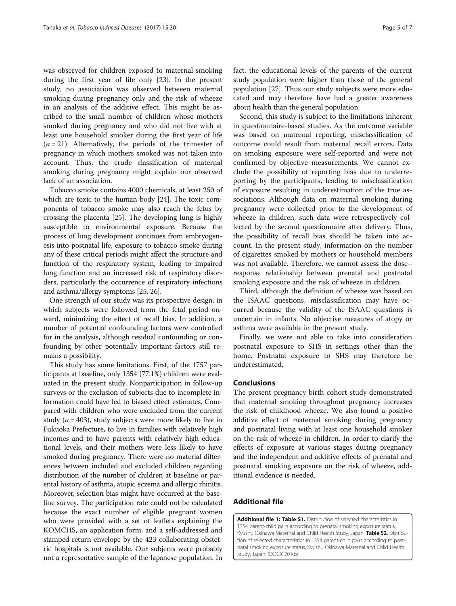<span id="page-4-0"></span>was observed for children exposed to maternal smoking during the first year of life only [[23\]](#page-6-0). In the present study, no association was observed between maternal smoking during pregnancy only and the risk of wheeze in an analysis of the additive effect. This might be ascribed to the small number of children whose mothers smoked during pregnancy and who did not live with at least one household smoker during the first year of life  $(n = 21)$ . Alternatively, the periods of the trimester of pregnancy in which mothers smoked was not taken into account. Thus, the crude classification of maternal smoking during pregnancy might explain our observed lack of an association.

Tobacco smoke contains 4000 chemicals, at least 250 of which are toxic to the human body [[24](#page-6-0)]. The toxic components of tobacco smoke may also reach the fetus by crossing the placenta [[25](#page-6-0)]. The developing lung is highly susceptible to environmental exposure. Because the process of lung development continues from embryogenesis into postnatal life, exposure to tobacco smoke during any of these critical periods might affect the structure and function of the respiratory system, leading to impaired lung function and an increased risk of respiratory disorders, particularly the occurrence of respiratory infections and asthma/allergy symptoms [\[25, 26\]](#page-6-0).

One strength of our study was its prospective design, in which subjects were followed from the fetal period onward, minimizing the effect of recall bias. In addition, a number of potential confounding factors were controlled for in the analysis, although residual confounding or confounding by other potentially important factors still remains a possibility.

This study has some limitations. First, of the 1757 participants at baseline, only 1354 (77.1%) children were evaluated in the present study. Nonparticipation in follow-up surveys or the exclusion of subjects due to incomplete information could have led to biased effect estimates. Compared with children who were excluded from the current study ( $n = 403$ ), study subjects were more likely to live in Fukuoka Prefecture, to live in families with relatively high incomes and to have parents with relatively high educational levels, and their mothers were less likely to have smoked during pregnancy. There were no material differences between included and excluded children regarding distribution of the number of children at baseline or parental history of asthma, atopic eczema and allergic rhinitis. Moreover, selection bias might have occurred at the baseline survey. The participation rate could not be calculated because the exact number of eligible pregnant women who were provided with a set of leaflets explaining the KOMCHS, an application form, and a self-addressed and stamped return envelope by the 423 collaborating obstetric hospitals is not available. Our subjects were probably not a representative sample of the Japanese population. In fact, the educational levels of the parents of the current study population were higher than those of the general population [\[27\]](#page-6-0). Thus our study subjects were more educated and may therefore have had a greater awareness about health than the general population.

Second, this study is subject to the limitations inherent in questionnaire-based studies. As the outcome variable was based on maternal reporting, misclassification of outcome could result from maternal recall errors. Data on smoking exposure were self-reported and were not confirmed by objective measurements. We cannot exclude the possibility of reporting bias due to underreporting by the participants, leading to misclassification of exposure resulting in underestimation of the true associations. Although data on maternal smoking during pregnancy were collected prior to the development of wheeze in children, such data were retrospectively collected by the second questionnaire after delivery. Thus, the possibility of recall bias should be taken into account. In the present study, information on the number of cigarettes smoked by mothers or household members was not available. Therefore, we cannot assess the dose– response relationship between prenatal and postnatal smoking exposure and the risk of wheeze in children.

Third, although the definition of wheeze was based on the ISAAC questions, misclassification may have occurred because the validity of the ISAAC questions is uncertain in infants. No objective measures of atopy or asthma were available in the present study.

Finally, we were not able to take into consideration postnatal exposure to SHS in settings other than the home. Postnatal exposure to SHS may therefore be underestimated.

### Conclusions

The present pregnancy birth cohort study demonstrated that maternal smoking throughout pregnancy increases the risk of childhood wheeze. We also found a positive additive effect of maternal smoking during pregnancy and postnatal living with at least one household smoker on the risk of wheeze in children. In order to clarify the effects of exposure at various stages during pregnancy and the independent and additive effects of prenatal and postnatal smoking exposure on the risk of wheeze, additional evidence is needed.

# Additional file

[Additional file 1: Table S1.](dx.doi.org/10.1186/s12971-017-0138-7) Distribution of selected characteristics in 1354 parent-child pairs according to prenatal smoking exposure status, Kyushu Okinawa Maternal and Child Health Study, Japan. Table S2. Distribution of selected characteristics in 1354 parent-child pairs according to postnatal smoking exposure status, Kyushu Okinawa Maternal and Child Health Study, Japan. (DOCX 20 kb)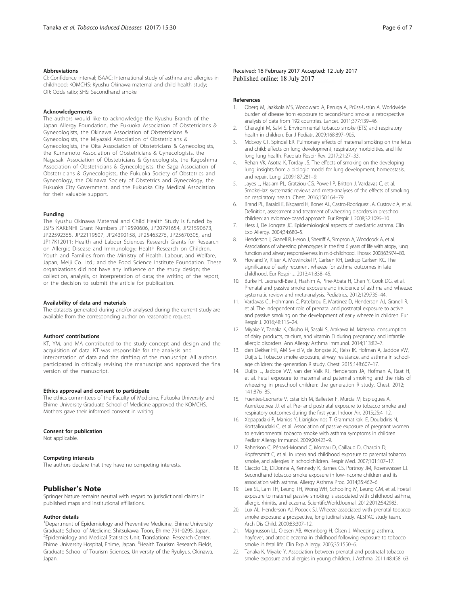#### <span id="page-5-0"></span>Abbreviations

CI: Confidence interval; ISAAC: International study of asthma and allergies in childhood; KOMCHS: Kyushu Okinawa maternal and child health study; OR: Odds ratio; SHS: Secondhand smoke

#### Acknowledgements

The authors would like to acknowledge the Kyushu Branch of the Japan Allergy Foundation, the Fukuoka Association of Obstetricians & Gynecologists, the Okinawa Association of Obstetricians & Gynecologists, the Miyazaki Association of Obstetricians & Gynecologists, the Oita Association of Obstetricians & Gynecologists, the Kumamoto Association of Obstetricians & Gynecologists, the Nagasaki Association of Obstetricians & Gynecologists, the Kagoshima Association of Obstetricians & Gynecologists, the Saga Association of Obstetricians & Gynecologists, the Fukuoka Society of Obstetrics and Gynecology, the Okinawa Society of Obstetrics and Gynecology, the Fukuoka City Government, and the Fukuoka City Medical Association for their valuable support.

#### Funding

The Kyushu Okinawa Maternal and Child Health Study is funded by JSPS KAKENHI Grant Numbers JP19590606, JP20791654, JP21590673, JP22592355, JP22119507, JP24390158, JP25463275, JP25670305, and JP17K12011; Health and Labour Sciences Research Grants for Research on Allergic Disease and Immunology; Health Research on Children, Youth and Families from the Ministry of Health, Labour, and Welfare, Japan; Meiji Co. Ltd.; and the Food Science Institute Foundation. These organizations did not have any influence on the study design; the collection, analysis, or interpretation of data; the writing of the report; or the decision to submit the article for publication.

#### Availability of data and materials

The datasets generated during and/or analysed during the current study are available from the corresponding author on reasonable request.

#### Authors' contributions

KT, YM, and MA contributed to the study concept and design and the acquisition of data. KT was responsible for the analysis and interpretation of data and the drafting of the manuscript. All authors participated in critically revising the manuscript and approved the final version of the manuscript.

#### Ethics approval and consent to participate

The ethics committees of the Faculty of Medicine, Fukuoka University and Ehime University Graduate School of Medicine approved the KOMCHS. Mothers gave their informed consent in writing.

#### Consent for publication

Not applicable.

#### Competing interests

The authors declare that they have no competing interests.

# Publisher's Note

Springer Nature remains neutral with regard to jurisdictional claims in published maps and institutional affiliations.

## Author details

<sup>1</sup>Department of Epidemiology and Preventive Medicine, Ehime University Graduate School of Medicine, Shitsukawa, Toon, Ehime 791-0295, Japan. <sup>2</sup> Epidemiology and Medical Statistics Unit, Translational Research Center, Ehime University Hospital, Ehime, Japan. <sup>3</sup>Health Tourism Research Fields, Graduate School of Tourism Sciences, University of the Ryukyus, Okinawa, Japan.

## Received: 16 February 2017 Accepted: 12 July 2017 Published online: 18 July 2017

#### References

- 1. Oberg M, Jaakkola MS, Woodward A, Peruga A, Prüss-Ustün A. Worldwide burden of disease from exposure to second-hand smoke: a retrospective analysis of data from 192 countries. Lancet. 2011;377:139–46.
- 2. Cheraghi M, Salvi S. Environmental tobacco smoke (ETS) and respiratory health in children. Eur J Pediatr. 2009;168:897–905.
- 3. McEvoy CT, Spindel ER. Pulmonary effects of maternal smoking on the fetus and child: effects on lung development, respiratory morbidities, and life long lung health. Paediatr Respir Rev. 2017;21:27–33.
- 4. Rehan VK, Asotra K, Torday JS. The effects of smoking on the developing lung: insights from a biologic model for lung development, homeostasis, and repair. Lung. 2009;187:281–9.
- Jayes L, Haslam PL, Gratziou CG, Powell P, Britton J, Vardavas C, et al. SmokeHaz: systematic reviews and meta-analyses of the effects of smoking on respiratory health. Chest. 2016;150:164–79.
- 6. Brand PL, Baraldi E, Bisgaard H, Boner AL, Castro-Rodriguez JA, Custovic A, et al. Definition, assessment and treatment of wheezing disorders in preschool children: an evidence-based approach. Eur Respir J. 2008;32:1096–10.
- 7. Hess J, De Jongste JC. Epidemiological aspects of paediatric asthma. Clin Exp Allergy. 2004;34:680–5.
- 8. Henderson J, Granell R, Heron J, Sherriff A, Simpson A, Woodcock A, et al. Associations of wheezing phenotypes in the first 6 years of life with atopy, lung function and airway responsiveness in mid-childhood. Thorax. 2008;63:974–80.
- 9. Hovland V, Riiser A, Mowinckel P, Carlsen KH, Lødrup Carlsen KC. The significance of early recurrent wheeze for asthma outcomes in late childhood. Eur Respir J. 2013;41:838–45.
- 10. Burke H, Leonardi-Bee J, Hashim A, Pine-Abata H, Chen Y, Cook DG, et al. Prenatal and passive smoke exposure and incidence of asthma and wheeze: systematic review and meta-analysis. Pediatrics. 2012;129:735–44.
- 11. Vardavas CI, Hohmann C, Patelarou E, Martinez D, Henderson AJ, Granell R, et al. The independent role of prenatal and postnatal exposure to active and passive smoking on the development of early wheeze in children. Eur Respir J. 2016;48:115–24.
- 12. Miyake Y, Tanaka K, Okubo H, Sasaki S, Arakawa M. Maternal consumption of dairy products, calcium, and vitamin D during pregnancy and infantile allergic disorders. Ann Allergy Asthma Immunol. 2014;113:82–7.
- 13. den Dekker HT, AM S-v d V, de Jongste JC, Reiss IK, Hofman A, Jaddoe VW, Duijts L. Tobacco smoke exposure, airway resistance, and asthma in schoolage children: the generation R study. Chest. 2015;148:607–17.
- 14. Duijts L, Jaddoe VW, van der Valk RJ, Henderson JA, Hofman A, Raat H, et al. Fetal exposure to maternal and paternal smoking and the risks of wheezing in preschool children: the generation R study. Chest. 2012; 141:876–85.
- 15. Fuentes-Leonarte V, Estarlich M, Ballester F, Murcia M, Esplugues A, Aurrekoetxea JJ, et al. Pre- and postnatal exposure to tobacco smoke and respiratory outcomes during the first year. Indoor Air. 2015;25:4–12.
- 16. Xepapadaki P, Manios Y, Liarigkovinos T, Grammatikaki E, Douladiris N, Kortsalioudaki C, et al. Association of passive exposure of pregnant women to environmental tobacco smoke with asthma symptoms in children. Pediatr Allergy Immunol. 2009;20:423–9.
- 17. Raherison C, Pénard-Morand C, Moreau D, Caillaud D, Charpin D, Kopfersmitt C, et al. In utero and childhood exposure to parental tobacco smoke, and allergies in schoolchildren. Respir Med. 2007;101:107–17.
- 18. Ciaccio CE, DiDonna A, Kennedy K, Barnes CS, Portnoy JM, Rosenwasser LJ. Secondhand tobacco smoke exposure in low-income children and its association with asthma. Allergy Asthma Proc. 2014;35:462–6.
- 19. Lee SL, Lam TH, Leung TH, Wong WH, Schooling M, Leung GM, et al. Foetal exposure to maternal passive smoking is associated with childhood asthma, allergic rhinitis, and eczema. ScientificWorldJournal. 2012;2012:542983.
- 20. Lux AL, Henderson AJ, Pocock SJ. Wheeze associated with prenatal tobacco smoke exposure: a prospective, longitudinal study. ALSPAC study team. Arch Dis Child. 2000;83:307–12.
- 21. Magnusson LL, Olesen AB, Wennborg H, Olsen J. Wheezing, asthma, hayfever, and atopic eczema in childhood following exposure to tobacco smoke in fetal life. Clin Exp Allergy. 2005;35:1550–6.
- 22. Tanaka K, Miyake Y. Association between prenatal and postnatal tobacco smoke exposure and allergies in young children. J Asthma. 2011;48:458–63.